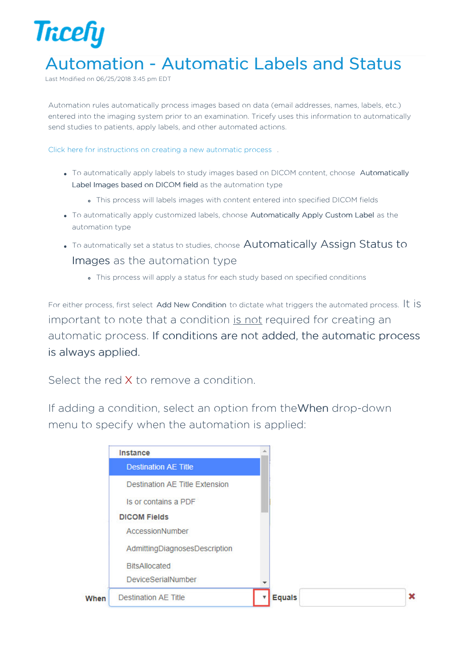

## Automation - Automatic Labels and Status

Last Modified on 06/25/2018 3:45 pm EDT

Automation rules automatically process images based on data (email addresses, names, labels, etc.) entered into the imaging system prior to an examination. Tricefy uses this information to automatically send studies to patients, apply labels, and other automated actions.

Click here for instructions on creating a new automatic process .

- To automatically apply labels to study images based on DICOM content, choose Automatically Label Images based on DICOM field as the automation type
	- This process will labels images with content entered into specified DICOM fields
- To automatically apply customized labels, choose Automatically Apply Custom Label as the automation type
- To automatically set a status to studies, choose Automatically Assign Status to Images as the automation type
	- This process will apply a status for each study based on specified conditions

For either process, first select Add New Condition to dictate what triggers the automated process. It IS important to note that a condition is not required for creating an automatic process. If conditions are not added, the automatic process is always applied.

Select the red **X** to remove a condition.

If adding a condition, select an option from theWhen drop-down menu to specify when the automation is applied:

|      | Instance                              |               |  |
|------|---------------------------------------|---------------|--|
|      | <b>Destination AE Title</b>           |               |  |
|      | <b>Destination AE Title Extension</b> |               |  |
|      | Is or contains a PDF                  |               |  |
|      | <b>DICOM Fields</b>                   |               |  |
|      | AccessionNumber                       |               |  |
|      | AdmittingDiagnosesDescription         |               |  |
|      | <b>BitsAllocated</b>                  |               |  |
|      | <b>DeviceSerialNumber</b>             |               |  |
| When | <b>Destination AE Title</b>           | <b>Equals</b> |  |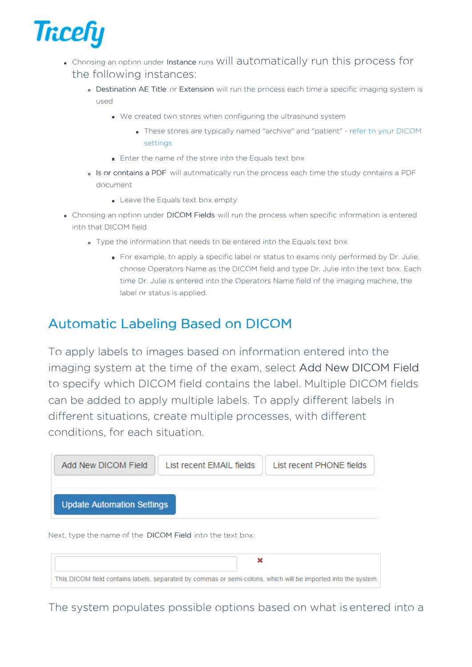

- Choosing an option under Instance runs will automatically run this process for the following instances:
	- Destination AE Title or Extension will run the process each time a specific imaging system is used
		- We created two stores when configuring the ultrasound system
			- These stores are typically named "archive" and "patient" refer to your DICOM settings
		- **Enter the name of the store into the Equals text box**
	- Is or contains a PDF will automatically run the process each time the study contains a PDF document
		- Leave the Equals text box empty
- Choosing an option under DICOM Fields will run the process when specific information is entered into that DICOM field
	- Type the information that needs to be entered into the Equals text box
		- For example, to apply a specific label or status to exams only performed by Dr. Julie, choose Operators Name as the DICOM field and type Dr. Julie into the text box. Each time Dr. Julie is entered into the Operators Name field of the imaging machine, the label or status is applied.

## Automatic Labeling Based on DICOM

To apply labels to images based on information entered into the imaging system at the time of the exam, select Add New DICOM Field to specify which DICOM field contains the label. Multiple DICOM fields can be added to apply multiple labels. To apply different labels in different situations, create multiple processes, with different conditions, for each situation.



Next, type the name of the DICOM Field into the text box:

| This DICOM field contains labels, separated by commas or semi-colons, which will be imported into the system. |  |  |  |  |  |
|---------------------------------------------------------------------------------------------------------------|--|--|--|--|--|

The system populates possible options based on what is entered into a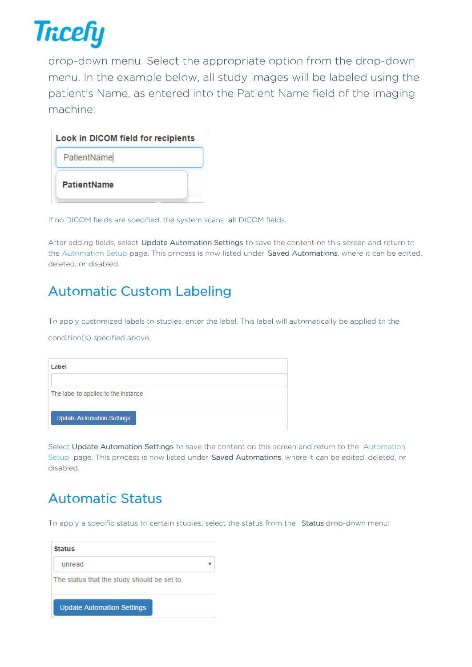

drop-down menu. Select the appropriate option from the drop-down menu. In the example below, all study images will be labeled using the patient's Name, as entered into the Patient Name field of the imaging machine:

| Look in DICOM field for recipients |  |
|------------------------------------|--|
| PatientName                        |  |
| PatientName                        |  |
|                                    |  |

If no DICOM fields are specified, the system scans all DICOM fields.

After adding fields, select Update Automation Settings to save the content on this screen and return to the Automation Setup page. This process is now listed under Saved Automations, where it can be edited, deleted, or disabled.

## Automatic Custom Labeling

To apply customized labels to studies, enter the label. This label will automatically be applied to the

condition(s) specified above.

| Label                                |  |
|--------------------------------------|--|
| The label to applied to the instance |  |
| <b>Update Automation Settings</b>    |  |

Select Update Automation Settings to save the content on this screen and return to the Automation Setup page. This process is now listed under Saved Automations, where it can be edited, deleted, or disabled.

## Automatic Status

To apply a specific status to certain studies, select the status from the Status drop-down menu:

| <b>Status</b>                               |  |
|---------------------------------------------|--|
| unread                                      |  |
| The status that the study should be set to. |  |
| <b>Update Automation Settings</b>           |  |